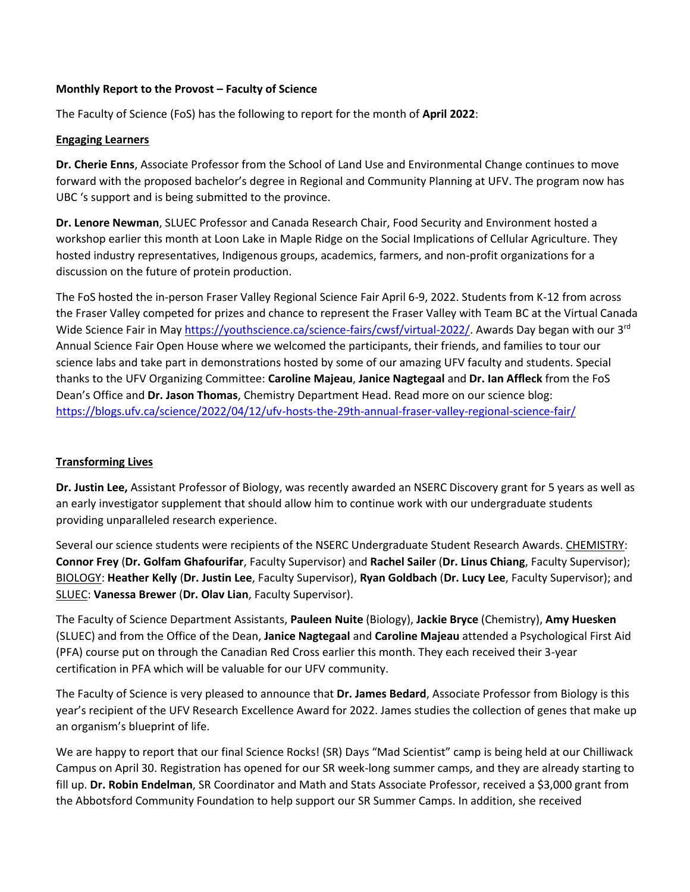## **Monthly Report to the Provost – Faculty of Science**

The Faculty of Science (FoS) has the following to report for the month of **April 2022**:

## **Engaging Learners**

**Dr. Cherie Enns**, Associate Professor from the School of Land Use and Environmental Change continues to move forward with the proposed bachelor's degree in Regional and Community Planning at UFV. The program now has UBC 's support and is being submitted to the province.

**Dr. Lenore Newman**, SLUEC Professor and Canada Research Chair, Food Security and Environment hosted a workshop earlier this month at Loon Lake in Maple Ridge on the Social Implications of Cellular Agriculture. They hosted industry representatives, Indigenous groups, academics, farmers, and non-profit organizations for a discussion on the future of protein production.

The FoS hosted the in-person Fraser Valley Regional Science Fair April 6-9, 2022. Students from K-12 from across the Fraser Valley competed for prizes and chance to represent the Fraser Valley with Team BC at the Virtual Canada Wide Science Fair in May [https://youthscience.ca/science-fairs/cwsf/virtual-2022/.](https://youthscience.ca/science-fairs/cwsf/virtual-2022/) Awards Day began with our 3<sup>rd</sup> Annual Science Fair Open House where we welcomed the participants, their friends, and families to tour our science labs and take part in demonstrations hosted by some of our amazing UFV faculty and students. Special thanks to the UFV Organizing Committee: **Caroline Majeau**, **Janice Nagtegaal** and **Dr. Ian Affleck** from the FoS Dean's Office and **Dr. Jason Thomas**, Chemistry Department Head. Read more on our science blog: <https://blogs.ufv.ca/science/2022/04/12/ufv-hosts-the-29th-annual-fraser-valley-regional-science-fair/>

## **Transforming Lives**

**Dr. Justin Lee,** Assistant Professor of Biology, was recently awarded an NSERC Discovery grant for 5 years as well as an early investigator supplement that should allow him to continue work with our undergraduate students providing unparalleled research experience.

Several our science students were recipients of the NSERC Undergraduate Student Research Awards. CHEMISTRY: **Connor Frey** (**Dr. Golfam Ghafourifar**, Faculty Supervisor) and **Rachel Sailer** (**Dr. Linus Chiang**, Faculty Supervisor); BIOLOGY: **Heather Kelly** (**Dr. Justin Lee**, Faculty Supervisor), **Ryan Goldbach** (**Dr. Lucy Lee**, Faculty Supervisor); and SLUEC: **Vanessa Brewer** (**Dr. Olav Lian**, Faculty Supervisor).

The Faculty of Science Department Assistants, **Pauleen Nuite** (Biology), **Jackie Bryce** (Chemistry), **Amy Huesken** (SLUEC) and from the Office of the Dean, **Janice Nagtegaal** and **Caroline Majeau** attended a Psychological First Aid (PFA) course put on through the Canadian Red Cross earlier this month. They each received their 3-year certification in PFA which will be valuable for our UFV community.

The Faculty of Science is very pleased to announce that **Dr. James Bedard**, Associate Professor from Biology is this year's recipient of the UFV Research Excellence Award for 2022. James studies the collection of genes that make up an organism's blueprint of life.

We are happy to report that our final Science Rocks! (SR) Days "Mad Scientist" camp is being held at our Chilliwack Campus on April 30. Registration has opened for our SR week-long summer camps, and they are already starting to fill up. **Dr. Robin Endelman**, SR Coordinator and Math and Stats Associate Professor, received a \$3,000 grant from the Abbotsford Community Foundation to help support our SR Summer Camps. In addition, she received